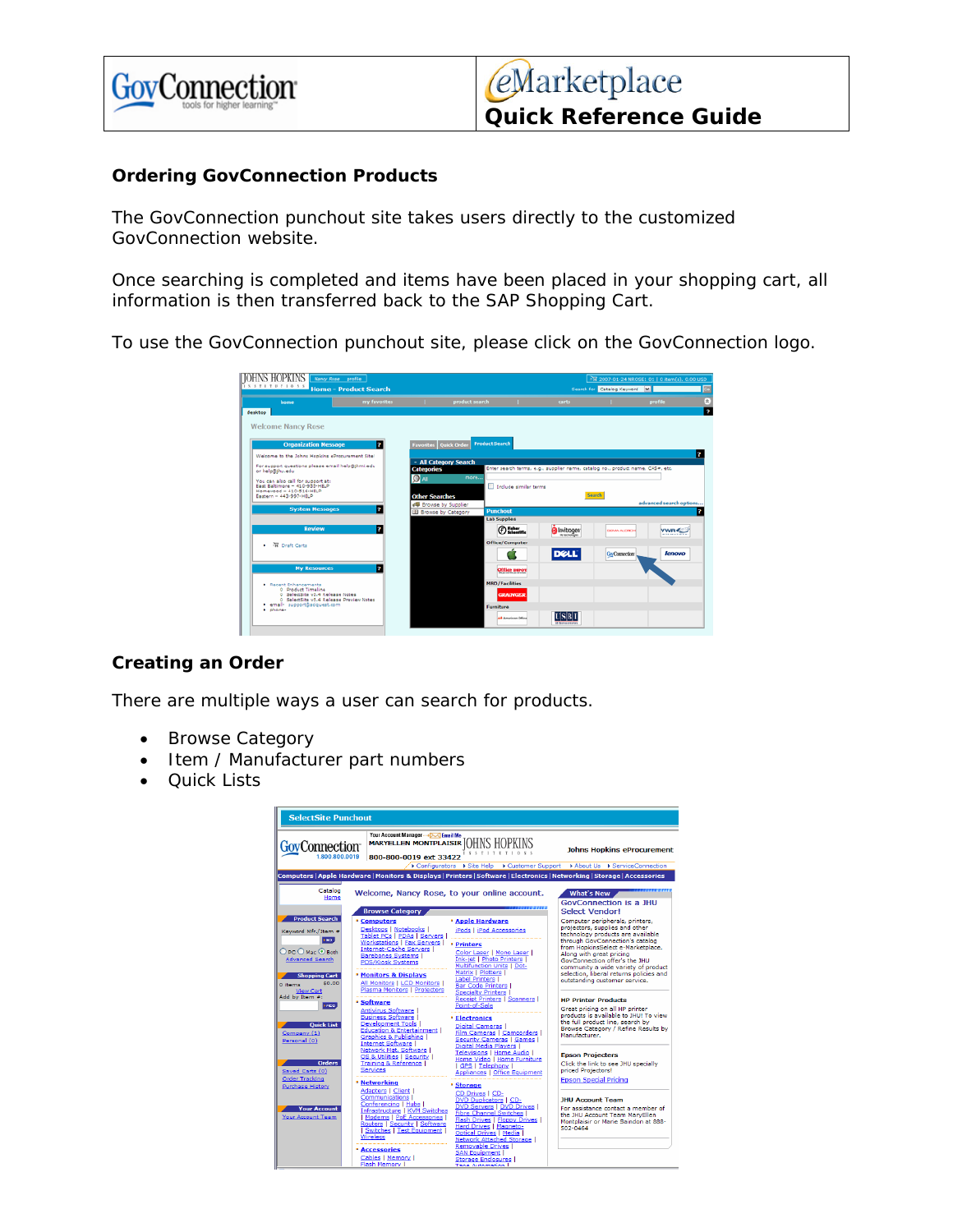

### **Ordering GovConnection Products**

The GovConnection punchout site takes users directly to the customized GovConnection website.

Once searching is completed and items have been placed in your shopping cart, all information is then transferred back to the SAP Shopping Cart.

To use the GovConnection punchout site, please click on the GovConnection logo.



## **Creating an Order**

There are multiple ways a user can search for products.

- Browse Category
- Item */* Manufacturer part numbers
- Quick Lists

| <b>SelectSite Punchout</b>                                                                                                                                                                                                                                                                                    |                                                                                                                                                                                                                                                                                                                                                                                                                                                                                                                                                                                                                                                                                                                                                                                                                                                                                                                                                                                                                                                                                                                                                                                                                                  |                                                                                                                                                                                                                                                                                                                                                                                                                                                                                                                                                                                                                                                              |  |  |
|---------------------------------------------------------------------------------------------------------------------------------------------------------------------------------------------------------------------------------------------------------------------------------------------------------------|----------------------------------------------------------------------------------------------------------------------------------------------------------------------------------------------------------------------------------------------------------------------------------------------------------------------------------------------------------------------------------------------------------------------------------------------------------------------------------------------------------------------------------------------------------------------------------------------------------------------------------------------------------------------------------------------------------------------------------------------------------------------------------------------------------------------------------------------------------------------------------------------------------------------------------------------------------------------------------------------------------------------------------------------------------------------------------------------------------------------------------------------------------------------------------------------------------------------------------|--------------------------------------------------------------------------------------------------------------------------------------------------------------------------------------------------------------------------------------------------------------------------------------------------------------------------------------------------------------------------------------------------------------------------------------------------------------------------------------------------------------------------------------------------------------------------------------------------------------------------------------------------------------|--|--|
| GovConnection <sup>-</sup><br>1.800.800.0019                                                                                                                                                                                                                                                                  | Your Account Manager -- > DOG Email Me<br><b>MARYELLEN MONTPLAISIR OHNS HOPKINS</b><br>I N S T I T U T I O N S<br>800-800-0019 ext 33422                                                                                                                                                                                                                                                                                                                                                                                                                                                                                                                                                                                                                                                                                                                                                                                                                                                                                                                                                                                                                                                                                         | <b>Johns Hopkins eProcurement</b><br>Configurators > Site Help > Customer Support > About Us > ServiceConnection                                                                                                                                                                                                                                                                                                                                                                                                                                                                                                                                             |  |  |
|                                                                                                                                                                                                                                                                                                               | Computers   Apple Hardware   Monitors & Displays   Printers   Software   Electronics   Networking   Storage   Accessories                                                                                                                                                                                                                                                                                                                                                                                                                                                                                                                                                                                                                                                                                                                                                                                                                                                                                                                                                                                                                                                                                                        |                                                                                                                                                                                                                                                                                                                                                                                                                                                                                                                                                                                                                                                              |  |  |
| Catalog<br>Home                                                                                                                                                                                                                                                                                               | Welcome, Nancy Rose, to your online account.                                                                                                                                                                                                                                                                                                                                                                                                                                                                                                                                                                                                                                                                                                                                                                                                                                                                                                                                                                                                                                                                                                                                                                                     | <b>What's New</b><br><b>GovConnection is a JHU</b>                                                                                                                                                                                                                                                                                                                                                                                                                                                                                                                                                                                                           |  |  |
|                                                                                                                                                                                                                                                                                                               | <b>Browse Category</b>                                                                                                                                                                                                                                                                                                                                                                                                                                                                                                                                                                                                                                                                                                                                                                                                                                                                                                                                                                                                                                                                                                                                                                                                           | Select Vendor!                                                                                                                                                                                                                                                                                                                                                                                                                                                                                                                                                                                                                                               |  |  |
| <b>Product Search</b><br>Keyword Mfr./Item #<br><b>Sac</b><br>$O$ PC $O$ Mac $\odot$ Both<br><b>Advanced Search</b><br><b>Shopping Cart</b><br>\$0.00<br>0 items<br><b>View Cart</b><br>Add by Item #:<br><b>FADD</b><br><b>Ouick List</b><br>Company (1)<br>Personal (0)<br><b>Orders</b><br>Saved Carts (0) | <b>* Apple Hardware</b><br><b>• Computers</b><br>Desktops   Notebooks  <br>iPods   iPod Accessories<br>Tablet PCs   PDAs   Servers  <br>Workstations   Fax Servers  <br><b>• Printers</b><br><b>Internet-Cache Servers  </b><br>Color Laser   Mono Laser  <br>Barebones Systems I<br><b>Ink-jet   Photo Printers  </b><br><b>POS/Kiosk Systems</b><br><b>Multifunction Units   Dot-</b><br>Matrix   Plotters  <br><b>* Monitors &amp; Displays</b><br>Label Printers I<br>All Monitors   LCD Monitors  <br><b>Bar Code Printers I</b><br><b>Plasma Monitors   Projectors</b><br>Specialty Printers I<br>Receipt Printers   Scanners  <br><b>* Software</b><br>Point-of-Sale<br><b>Antivirus Software I</b><br><b>Business Software</b><br><b>Electronics</b><br><b>Development Tools I</b><br><b>Digital Cameras I</b><br><b>Education &amp; Entertainment  </b><br>Film Cameras   Camcorders  <br>Graphics & Publishing I<br>Security Cameras   Games  <br>Internet Software<br>Digital Media Players  <br>Network Mgt. Software  <br>Televisions   Home Audio  <br>OS & Utilities   Security  <br>Home Video   Home Furniture<br>Training & Reference<br><b>GPS   Telephony  </b><br>Services<br>Appliances   Office Equipment | Computer peripherals, printers,<br>projectors, supplies and other<br>technology products are available<br>through GovConnection's catalog<br>from HopkinsSelect e-Marketplace.<br>Along with great pricing<br>GovConnection offer's the JHU<br>community a wide variety of product<br>selection, liberal returns policies and<br>outstanding customer service.<br><b>HP Printer Products</b><br>Great pricing on all HP printer<br>products is available to JHUI To view<br>the full product line, search by<br>Browse Category / Refine Results by<br>Manufacturer.<br><b>Epson Projecters</b><br>Click the link to see JHU specially<br>priced Projectors! |  |  |
| <b>Order Tracking</b>                                                                                                                                                                                                                                                                                         | · Networking<br><b>* Storage</b>                                                                                                                                                                                                                                                                                                                                                                                                                                                                                                                                                                                                                                                                                                                                                                                                                                                                                                                                                                                                                                                                                                                                                                                                 | <b>Epson Special Pricing</b>                                                                                                                                                                                                                                                                                                                                                                                                                                                                                                                                                                                                                                 |  |  |
| <b>Purchase History</b><br><b>Your Account</b><br>Your Account Team                                                                                                                                                                                                                                           | Adapters   Client  <br>CD Drives   CD-<br><b>Communications  </b><br><b>DVD Duplicators   CD-</b><br>Conferencing   Hubs  <br>DVD Servers   DVD Drives  <br>Infrastructure   KVM Switches<br><b>Fibre Channel Switches</b><br>Modems   PoE Accessories  <br><b>Flash Drives   Floppy Drives  </b><br>Routers   Security   Software<br>Hard Drives   Magneto-<br>Switches   Test Equipment  <br>Optical Drives   Media  <br><b>Wireless</b><br>Network Attached Storage I<br><b>Removable Drives</b><br><b>Accessories</b><br><b>SAN Equipment  </b><br>Cables   Memory  <br>Storage Enclosures I<br><b>Flash Memory I</b><br>Tang Automation I                                                                                                                                                                                                                                                                                                                                                                                                                                                                                                                                                                                   | <b>JHU Account Team</b><br>For assistance contact a member of<br>the JHU Account Team MarvEllen<br>Montplaisir or Marie Saindon at 888-<br>502-0464                                                                                                                                                                                                                                                                                                                                                                                                                                                                                                          |  |  |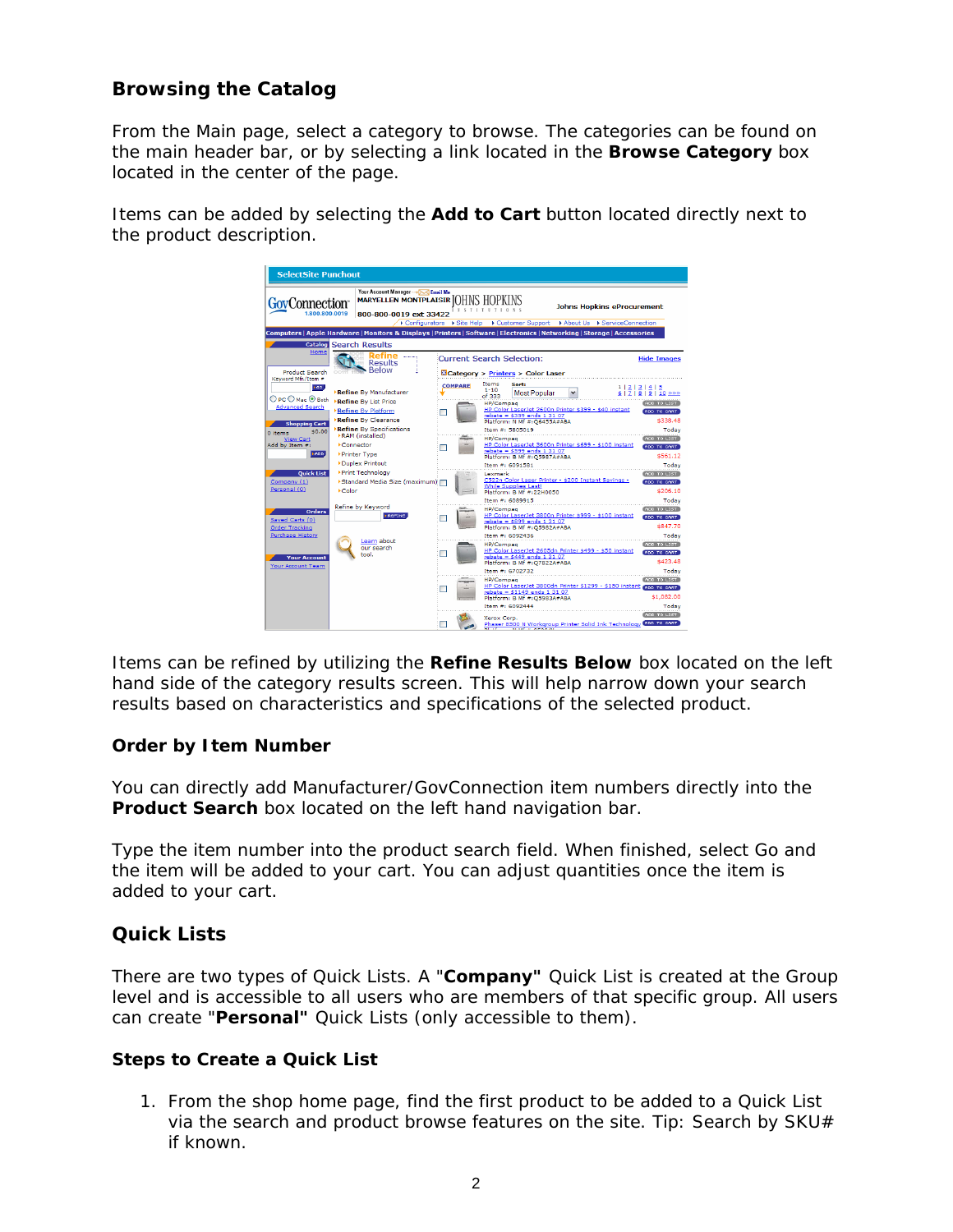# **Browsing the Catalog**

From the Main page, select a category to browse. The categories can be found on the main header bar, or by selecting a link located in the **Browse Category** box located in the center of the page.

Items can be added by selecting the **Add to Cart** button located directly next to the product description.



Items can be refined by utilizing the **Refine Results Below** box located on the left hand side of the category results screen. This will help narrow down your search results based on characteristics and specifications of the selected product.

#### **Order by Item Number**

You can directly add Manufacturer/GovConnection item numbers directly into the **Product Search** box located on the left hand navigation bar.

Type the item number into the product search field. When finished, select Go and the item will be added to your cart. You can adjust quantities once the item is added to your cart.

## **Quick Lists**

There are two types of Quick Lists. A "**Company"** Quick List is created at the Group level and is accessible to all users who are members of that specific group. All users can create "**Personal"** Quick Lists (only accessible to them).

#### **Steps to Create a Quick List**

1. From the shop home page, find the first product to be added to a Quick List via the search and product browse features on the site. Tip: Search by  $SKU#$ if known.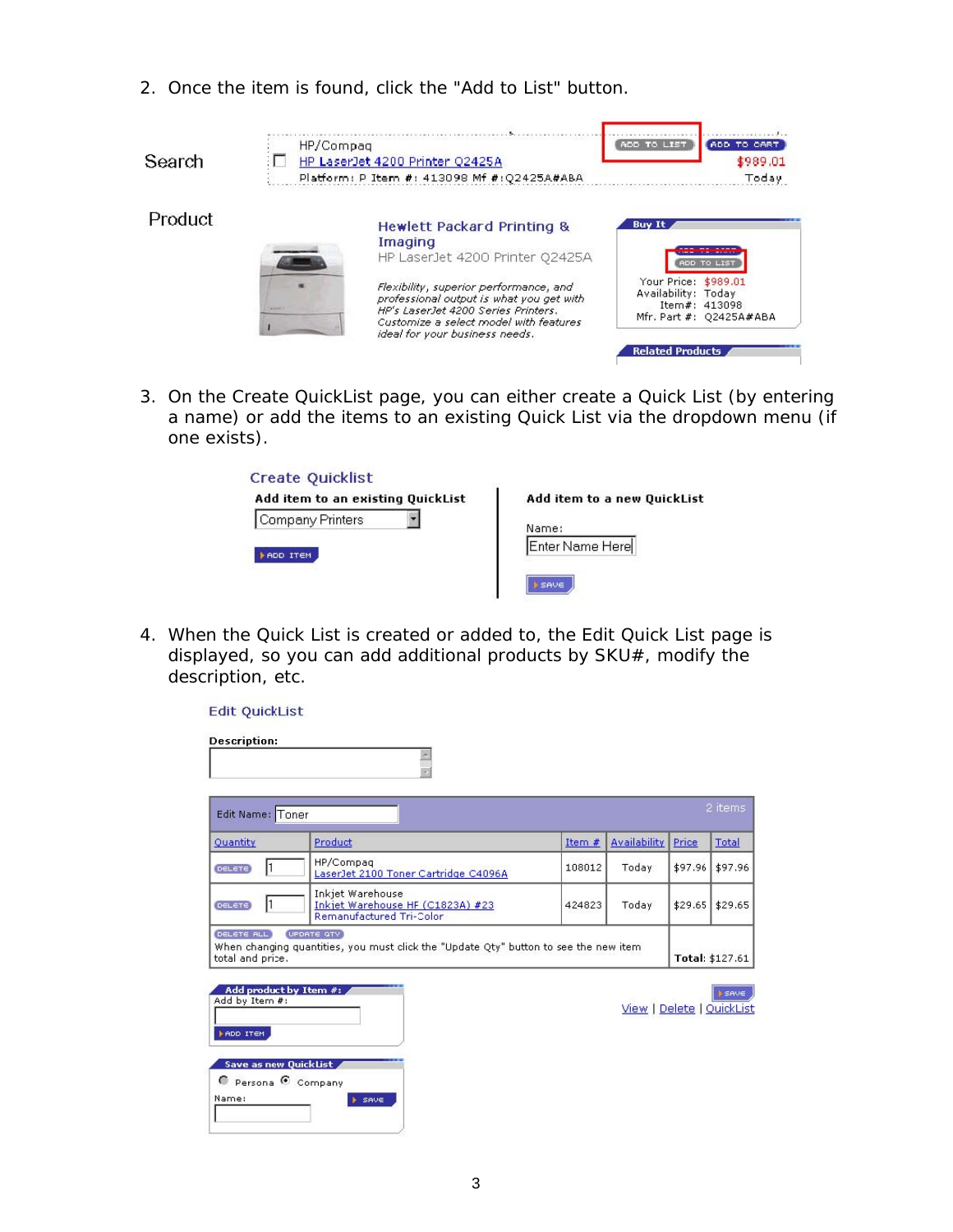2. Once the item is found, click the "Add to List" button.

| Search  | HP/Compag<br>HP LaserJet 4200 Printer Q2425A<br>Platform: P Item #: 413098 Mf #: Q2425A#ABA                                                                                                                                                                                                  | ADD TO LIST<br>ADD TO CART<br>\$989.01<br>Today                                                                                                    |
|---------|----------------------------------------------------------------------------------------------------------------------------------------------------------------------------------------------------------------------------------------------------------------------------------------------|----------------------------------------------------------------------------------------------------------------------------------------------------|
| Product | <b>Hewlett Packard Printing &amp;</b><br>Imaging<br>HP LaserJet 4200 Printer Q2425A<br>Flexibility, superior performance, and<br>professional output is what you get with<br>HP's LaserJet 4200 Series Printers.<br>Customize a select model with features<br>ideal for your business needs. | <b>Buy It</b><br>ADD TO LIST<br>Your Price: \$989.01<br>Availability: Today<br>Item#: 413098<br>Mfr. Part #: Q2425A#ABA<br><b>Related Products</b> |

3. On the Create QuickList page, you can either create a Quick List (by entering a name) or add the items to an existing Quick List via the dropdown menu (if one exists).

| Add item to an existing QuickList | Add item to a new QuickList      |
|-----------------------------------|----------------------------------|
| Company Printers<br>ADD ITEM      | Name:<br>Enter Name Here<br>SAVE |

4. When the Quick List is created or added to, the Edit Quick List page is displayed, so you can add additional products by SKU#, modify the description, etc.

|  | Edit QuickList |  |
|--|----------------|--|
|--|----------------|--|

| <b>Description:</b>                                                                                                                        |                                                                                                     |          |                           |         |                 |
|--------------------------------------------------------------------------------------------------------------------------------------------|-----------------------------------------------------------------------------------------------------|----------|---------------------------|---------|-----------------|
| Edit Name: Toner                                                                                                                           |                                                                                                     |          |                           |         | 2 items         |
| Quantity                                                                                                                                   | Product                                                                                             | Item $#$ | <b>Availability</b>       | Price   | Total           |
| I1<br><b>DELETE</b>                                                                                                                        | HP/Compag<br>LaserJet 2100 Toner Cartridge C4096A                                                   | 108012   | Today                     | \$97.96 | \$97.96         |
| Inkjet Warehouse<br>I1<br>Inkjet Warehouse HF (C1823A) #23<br>\$29.65<br>DELETE)<br>Today<br>\$29.65<br>424823<br>Remanufactured Tri-Color |                                                                                                     |          |                           |         |                 |
| DELETE ALL<br>total and price.                                                                                                             | UPDATE QTY<br>When changing quantities, you must click the "Update Qty" button to see the new item- |          |                           |         | Total: \$127.61 |
| Add product by Item #:<br>Add by Item #:<br><b>FADD ITEM</b>                                                                               |                                                                                                     |          | View   Delete   QuickList |         | <b>SAVE</b>     |
| Save as new QuickList<br>Persona C Company<br>Name:                                                                                        | <b>E</b> SAVE                                                                                       |          |                           |         |                 |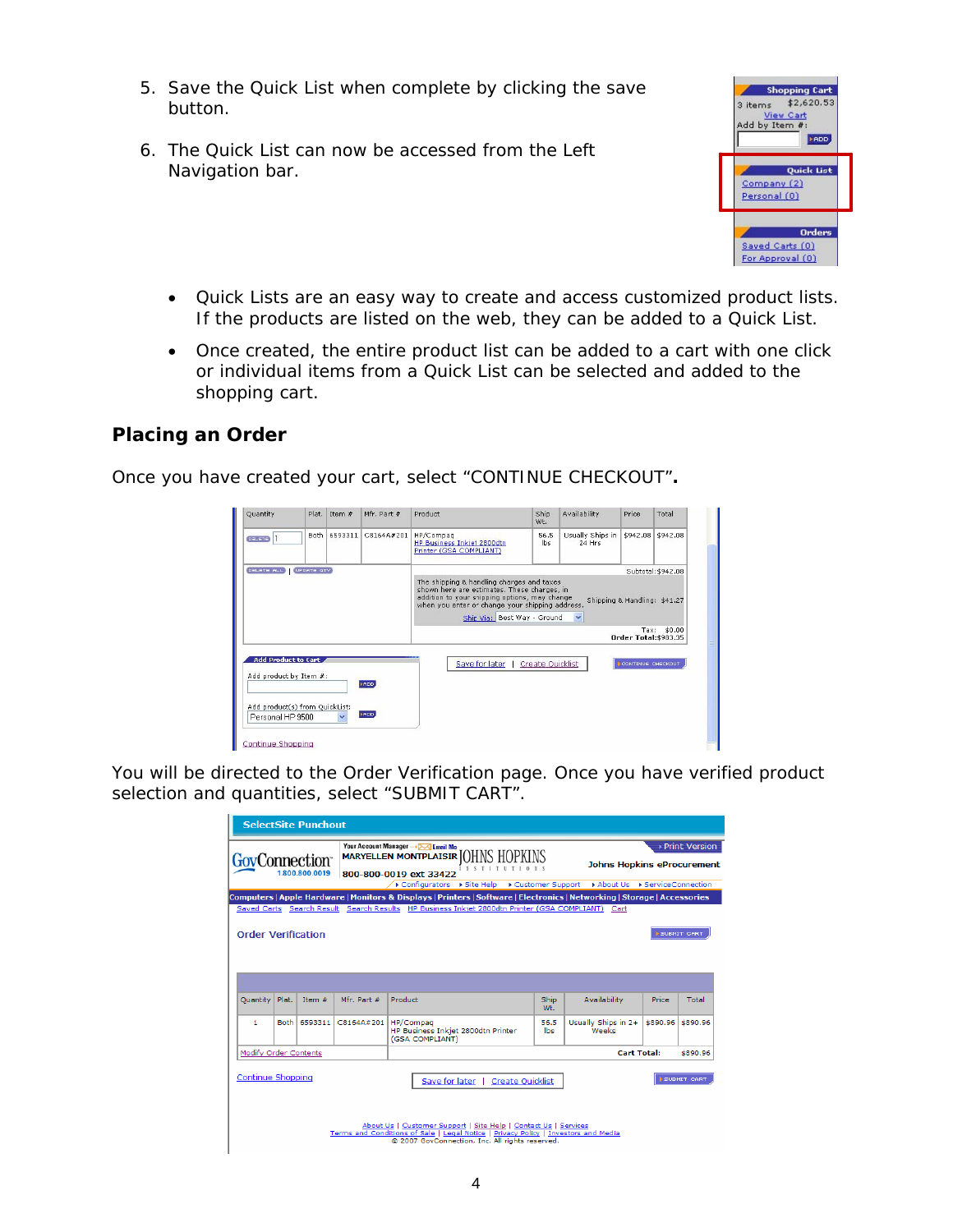- 5. Save the Quick List when complete by clicking the save button.
- 6. The Quick List can now be accessed from the Left Navigation bar.



- Quick Lists are an easy way to create and access customized product lists. If the products are listed on the web, they can be added to a Quick List.
- Once created, the entire product list can be added to a cart with one click or individual items from a Quick List can be selected and added to the shopping cart.

# **Placing an Order**

Once you have created your cart, select "CONTINUE CHECKOUT"**.**

| Quantity      |            | Plat. Item # | Mfr. Part # | Product                                                                                                                                                                                      | Ship<br>Wt. | Availability                 | Price                                | Total              |
|---------------|------------|--------------|-------------|----------------------------------------------------------------------------------------------------------------------------------------------------------------------------------------------|-------------|------------------------------|--------------------------------------|--------------------|
| <b>DELETE</b> | Both       | 6593311      | C8164A#201  | HP/Compaq<br>HP Business Inkiet 2800dtn<br>Printer (GSA COMPLIANT)                                                                                                                           | 56.5<br>lbs | Usually Ships in<br>$24$ Hrs | \$942.08                             | \$942.08           |
| DELETE ALL    | UPDATE QTV |              |             | The shipping & handling charges and taxes<br>shown here are estimates. These charges, in<br>addition to your shipping options, may change<br>when you enter or change your shipping address. |             |                              | Shipping & Handling: \$41.27         | Subtotal: \$942.08 |
|               |            |              |             | Ship Via: Best Way - Ground                                                                                                                                                                  |             | $\checkmark$                 | Tax:<br><b>Order Total: \$983.35</b> | \$0.00             |

You will be directed to the Order Verification page. Once you have verified product selection and quantities, select "SUBMIT CART".

|                              |        | <b>SelectSite Punchout</b> |             |                                                                                                                                                                                                                                                       |             |                                                                                 |          |                 |
|------------------------------|--------|----------------------------|-------------|-------------------------------------------------------------------------------------------------------------------------------------------------------------------------------------------------------------------------------------------------------|-------------|---------------------------------------------------------------------------------|----------|-----------------|
| GovConnection <sup>-</sup>   |        | 1.800.800.0019             |             | Your Account Manager -> DOC Email Me<br><b>MARYELLEN MONTPLAISIR (I)HNS HI</b><br>800-800-0019 ext 33422<br>Configurators > Site Help                                                                                                                 |             | Johns Hopkins eProcurement<br>▶ Customer Support ▶ About Us ▶ ServiceConnection |          | ▶ Print Version |
|                              |        |                            |             | Computers   Apple Hardware   Monitors & Displays   Printers   Software   Electronics   Networking   Storage   Accessories<br>Saved Carts Search Result Search Results HP Business Inkjet 2800dtn Printer (GSA COMPLIANT) Cart                         |             |                                                                                 |          |                 |
| <b>Order Verification</b>    |        |                            |             |                                                                                                                                                                                                                                                       |             |                                                                                 |          | SUBMIT CART     |
| <b>Ouantity</b>              | Plat.  | Item $#$                   | Mfr. Part # | Product                                                                                                                                                                                                                                               | Ship<br>Wt. | Availability                                                                    | Price    | Total           |
| 1                            | Both I | 6593311                    | C8164A#201  | HP/Compaq<br>HP Business Inkiet 2800dtn Printer<br>(GSA COMPLIANT)                                                                                                                                                                                    | 56.5<br>lhs | Usually Ships in 2+<br>Weeks                                                    | \$890.96 | \$890.96        |
| <b>Modify Order Contents</b> |        |                            |             |                                                                                                                                                                                                                                                       |             | <b>Cart Total:</b>                                                              |          | \$890.96        |
| Continue Shopping            |        |                            |             | Save for later<br><b>Create Ouicklist</b><br>About Us   Customer Support   Site Help   Contact Us   Services<br>Terms and Conditions of Sale   Legal Notice   Privacy Policy   Investors and Media<br>@ 2007 GovConnection, Inc. All rights reserved. |             |                                                                                 |          | SUBMIT CAR'     |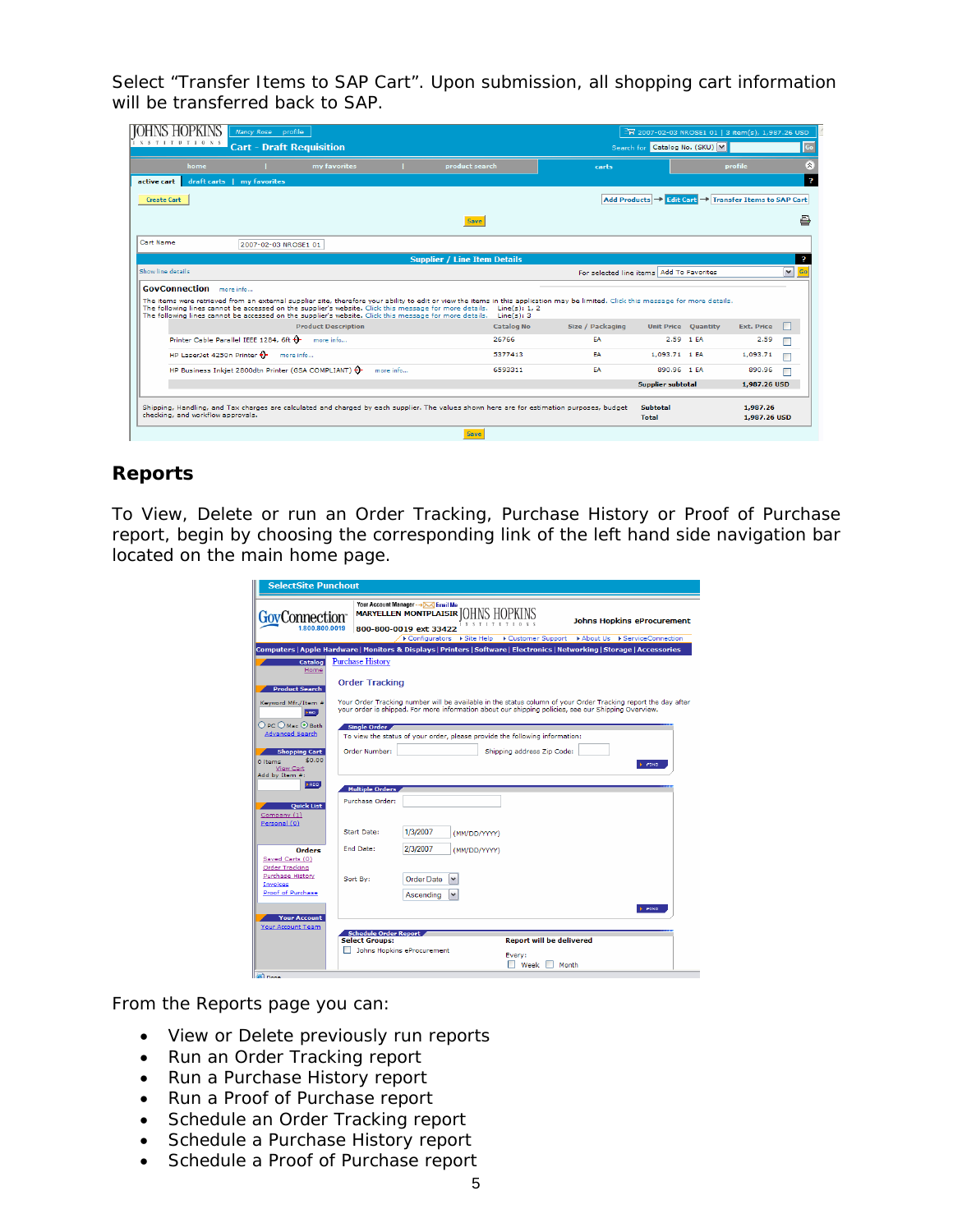Select "Transfer Items to SAP Cart". Upon submission, all shopping cart information will be transferred back to SAP.

| Nancy Rose profile<br><b>NSTITUTIONS</b><br><b>Cart - Draft Requisition</b>                                                                                                                                                                                                                                                                                                                                                              |                                     |                             |                                          | 2007-02-03 NROSE1 01   3 item(s), 1,987.26 USD<br>Search for Catalog No. (SKU) M |                            |                          | Go                      |
|------------------------------------------------------------------------------------------------------------------------------------------------------------------------------------------------------------------------------------------------------------------------------------------------------------------------------------------------------------------------------------------------------------------------------------------|-------------------------------------|-----------------------------|------------------------------------------|----------------------------------------------------------------------------------|----------------------------|--------------------------|-------------------------|
| home<br>my favorites                                                                                                                                                                                                                                                                                                                                                                                                                     | product search                      |                             | carts                                    |                                                                                  |                            | profile                  | $\hat{\mathbf{x}}$      |
| active cart<br>draft carts   my favorites                                                                                                                                                                                                                                                                                                                                                                                                |                                     |                             |                                          |                                                                                  |                            |                          | $\overline{\mathbf{z}}$ |
| Create Cart                                                                                                                                                                                                                                                                                                                                                                                                                              |                                     |                             |                                          | Add Products → Edit Cart → Transfer Items to SAP Cart                            |                            |                          |                         |
|                                                                                                                                                                                                                                                                                                                                                                                                                                          | <b>Save</b>                         |                             |                                          |                                                                                  |                            |                          | 르                       |
| Cart Name<br>2007-02-03 NROSE1 01                                                                                                                                                                                                                                                                                                                                                                                                        |                                     |                             |                                          |                                                                                  |                            |                          |                         |
|                                                                                                                                                                                                                                                                                                                                                                                                                                          | <b>Supplier / Line Item Details</b> |                             |                                          |                                                                                  |                            |                          | Þ                       |
| Show line details                                                                                                                                                                                                                                                                                                                                                                                                                        |                                     |                             | For selected line items Add To Favorites |                                                                                  |                            |                          | $\mathbf{v}$<br>Go      |
| <b>GovConnection</b> more info<br>The items were retrieved from an external supplier site, therefore your ability to edit or view the items in this application may be limited. Click this message for more details.<br>The following lines cannot be accessed on the supplier's website. Click this message for more details.<br>The following lines cannot be accessed on the supplier's website. Click this message for more details. |                                     | Line(s): 1, 2<br>Line(s): 3 |                                          |                                                                                  |                            |                          |                         |
| <b>Product Description</b>                                                                                                                                                                                                                                                                                                                                                                                                               |                                     | <b>Catalog No</b>           | Size / Packaging                         |                                                                                  | <b>Unit Price Quantity</b> | <b>Ext. Price</b>        |                         |
| Printer Cable Parallel IEEE 1284, 6ft +<br>more info                                                                                                                                                                                                                                                                                                                                                                                     |                                     | 26766                       | EA                                       |                                                                                  | 2.59 1 EA                  | 2.59                     |                         |
| HP LaserJet 4250n Printer $\Theta$<br>more info                                                                                                                                                                                                                                                                                                                                                                                          |                                     | 5377413                     | EA                                       | 1.093.71 1 EA                                                                    |                            | 1,093.71                 |                         |
| HP Business Inkjet 2800dtn Printer (GSA COMPLIANT) (                                                                                                                                                                                                                                                                                                                                                                                     | more info                           | 6593311                     | EA                                       | 890.96 1 EA                                                                      |                            | 890.96                   |                         |
|                                                                                                                                                                                                                                                                                                                                                                                                                                          |                                     |                             |                                          | Supplier subtotal                                                                |                            | 1,987.26 USD             |                         |
| Shipping, Handling, and Tax charges are calculated and charged by each supplier. The values shown here are for estimation purposes, budget<br>checking, and workflow approvals.                                                                                                                                                                                                                                                          |                                     |                             |                                          | <b>Subtotal</b><br><b>Total</b>                                                  |                            | 1,987.26<br>1,987.26 USD |                         |
|                                                                                                                                                                                                                                                                                                                                                                                                                                          | <b>Save</b>                         |                             |                                          |                                                                                  |                            |                          |                         |

## **Reports**

To View, Delete or run an Order Tracking, Purchase History or Proof of Purchase report, begin by choosing the corresponding link of the left hand side navigation bar located on the main home page.

| Your Account Manager --- > > Email Me<br>MARYELLEN MONTPLAISIR JOHNS HOPKINS<br>GovConnection <sup>-</sup><br><b>Johns Hopkins eProcurement</b><br>1.800.800.0019<br>800-800-0019 ext 33422<br>Die Configurators Distribution District Customer Support Distribution District Connection<br>Computers   Apple Hardware   Monitors & Displays   Printers   Software   Electronics   Networking   Storage   Accessories |
|-----------------------------------------------------------------------------------------------------------------------------------------------------------------------------------------------------------------------------------------------------------------------------------------------------------------------------------------------------------------------------------------------------------------------|
|                                                                                                                                                                                                                                                                                                                                                                                                                       |
|                                                                                                                                                                                                                                                                                                                                                                                                                       |
| <b>Purchase History</b><br>Catalog<br>Home                                                                                                                                                                                                                                                                                                                                                                            |
| <b>Order Tracking</b><br><b>Product Search</b>                                                                                                                                                                                                                                                                                                                                                                        |
| Your Order Tracking number will be available in the status column of your Order Tracking report the day after<br>Keyword Mfr./Item #<br>vour order is shipped. For more information about our shipping policies, see our Shipping Overview.<br><b>FGO</b>                                                                                                                                                             |
| $\bigcirc$ PC $\bigcirc$ Mac $\bigcirc$ Both<br><b>Single Order</b><br><b>Advanced Search</b><br>To view the status of your order, please provide the following information:                                                                                                                                                                                                                                          |
| Order Number:<br>Shipping address Zip Code:<br><b>Shopping Cart</b><br>\$0.00<br>0 items<br>$F$ $F$ IND<br><b>View Cart</b>                                                                                                                                                                                                                                                                                           |
| Add by Item #:<br><b>HADD</b><br><b>Multiple Orders</b><br>Purchase Order:<br><b>Ouick List</b>                                                                                                                                                                                                                                                                                                                       |
| Company (1)<br>Personal (0)<br>1/3/2007<br><b>Start Date:</b><br>(MM/DD/YYYY)                                                                                                                                                                                                                                                                                                                                         |
| End Date:<br>2/3/2007<br><b>Orders</b><br>(MM/DD/YYYY)<br>Saved Carts (0)<br>Order Tracking                                                                                                                                                                                                                                                                                                                           |
| Purchase History<br>Order Date<br>Sort By:<br>٧<br>Invoices<br>Proof of Purchase<br>$\checkmark$<br>Ascending                                                                                                                                                                                                                                                                                                         |
| $\models$ $FID$<br><b>Your Account</b><br>Your Account Team<br><b>Schedule Order Report</b>                                                                                                                                                                                                                                                                                                                           |
| <b>Report will be delivered</b><br><b>Select Groups:</b><br>Johns Hopkins eProcurement<br>Every:<br>Week<br>Month                                                                                                                                                                                                                                                                                                     |

From the Reports page you can:

- View or Delete previously run reports
- Run an Order Tracking report
- Run a Purchase History report
- Run a Proof of Purchase report
- Schedule an Order Tracking report
- Schedule a Purchase History report
- Schedule a Proof of Purchase report